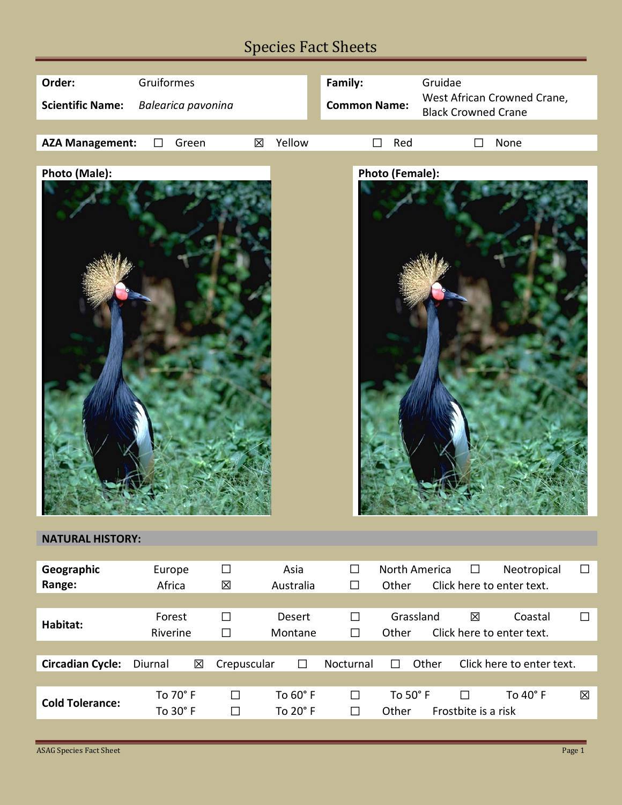## Species Fact Sheets



## **NATURAL HISTORY:**

| Geographic<br>Range:    | Europe<br>Africa | $\Box$<br>区 | Asia<br>Australia | $\Box$<br>$\Box$ | North America<br>Other | $\Box$              | Neotropical<br>Click here to enter text. | $\Box$ |
|-------------------------|------------------|-------------|-------------------|------------------|------------------------|---------------------|------------------------------------------|--------|
|                         |                  |             |                   |                  |                        |                     |                                          |        |
| Habitat:                | Forest           | $\Box$      | Desert            | $\Box$           | Grassland              | 区                   | Coastal                                  | $\Box$ |
|                         | Riverine         | $\Box$      | Montane           | $\Box$           | Other                  |                     | Click here to enter text.                |        |
|                         |                  |             |                   |                  |                        |                     |                                          |        |
| <b>Circadian Cycle:</b> | 図<br>Diurnal     | Crepuscular | П                 | <b>Nocturnal</b> | Other<br>$\perp$       |                     | Click here to enter text.                |        |
|                         |                  |             |                   |                  |                        |                     |                                          |        |
|                         | To 70° F         | $\Box$      | To $60^\circ$ F   | $\Box$           | To $50^\circ$ F        | J                   | To $40^\circ$ F                          | 区      |
| <b>Cold Tolerance:</b>  | To $30^\circ$ F  | П           | To $20^{\circ}$ F | $\Box$           | Other                  | Frostbite is a risk |                                          |        |
|                         |                  |             |                   |                  |                        |                     |                                          |        |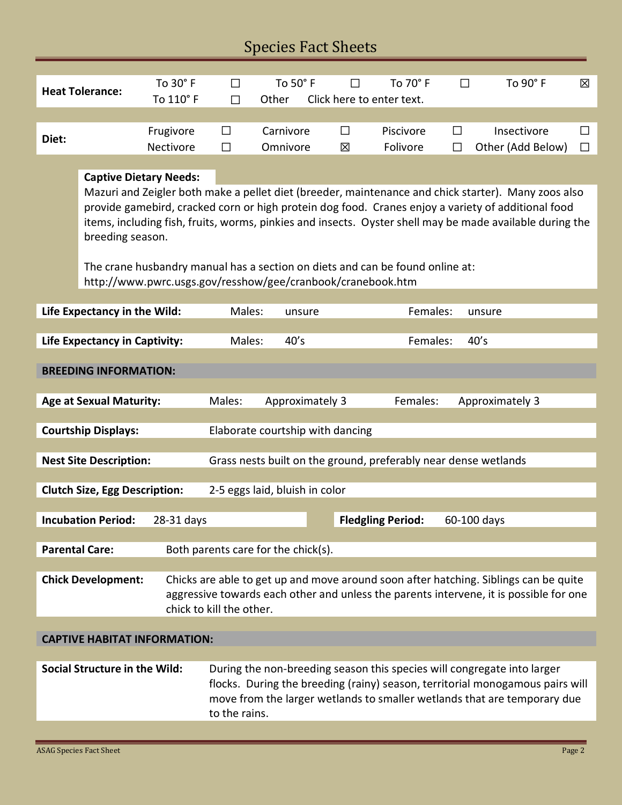| <b>Species Fact Sheets</b>                                                                                                                                                                                                                                                                                                                                                                                                                                                                                                 |                                                                                                                                                                                                                                         |                        |                                                                                                                                                                                                                                                       |                       |             |                                       |             |                                  |              |
|----------------------------------------------------------------------------------------------------------------------------------------------------------------------------------------------------------------------------------------------------------------------------------------------------------------------------------------------------------------------------------------------------------------------------------------------------------------------------------------------------------------------------|-----------------------------------------------------------------------------------------------------------------------------------------------------------------------------------------------------------------------------------------|------------------------|-------------------------------------------------------------------------------------------------------------------------------------------------------------------------------------------------------------------------------------------------------|-----------------------|-------------|---------------------------------------|-------------|----------------------------------|--------------|
|                                                                                                                                                                                                                                                                                                                                                                                                                                                                                                                            | <b>Heat Tolerance:</b>                                                                                                                                                                                                                  | To 30° F<br>To 110° F  | $\Box$<br>$\Box$                                                                                                                                                                                                                                      | To 50° F<br>Other     | $\perp$     | To 70° F<br>Click here to enter text. | □           | To 90° F                         | 区            |
| Diet:                                                                                                                                                                                                                                                                                                                                                                                                                                                                                                                      |                                                                                                                                                                                                                                         | Frugivore<br>Nectivore | □<br>$\Box$                                                                                                                                                                                                                                           | Carnivore<br>Omnivore | $\Box$<br>区 | Piscivore<br>Folivore                 | П<br>П      | Insectivore<br>Other (Add Below) | ΙI<br>$\Box$ |
| <b>Captive Dietary Needs:</b><br>Mazuri and Zeigler both make a pellet diet (breeder, maintenance and chick starter). Many zoos also<br>provide gamebird, cracked corn or high protein dog food. Cranes enjoy a variety of additional food<br>items, including fish, fruits, worms, pinkies and insects. Oyster shell may be made available during the<br>breeding season.<br>The crane husbandry manual has a section on diets and can be found online at:<br>http://www.pwrc.usgs.gov/resshow/gee/cranbook/cranebook.htm |                                                                                                                                                                                                                                         |                        |                                                                                                                                                                                                                                                       |                       |             |                                       |             |                                  |              |
| Life Expectancy in the Wild:                                                                                                                                                                                                                                                                                                                                                                                                                                                                                               |                                                                                                                                                                                                                                         |                        | Females:<br>Males:<br>unsure<br>unsure                                                                                                                                                                                                                |                       |             |                                       |             |                                  |              |
| 40's<br>40's<br><b>Life Expectancy in Captivity:</b><br>Males:<br>Females:                                                                                                                                                                                                                                                                                                                                                                                                                                                 |                                                                                                                                                                                                                                         |                        |                                                                                                                                                                                                                                                       |                       |             |                                       |             |                                  |              |
| <b>BREEDING INFORMATION:</b>                                                                                                                                                                                                                                                                                                                                                                                                                                                                                               |                                                                                                                                                                                                                                         |                        |                                                                                                                                                                                                                                                       |                       |             |                                       |             |                                  |              |
| <b>Age at Sexual Maturity:</b>                                                                                                                                                                                                                                                                                                                                                                                                                                                                                             |                                                                                                                                                                                                                                         |                        | Males:                                                                                                                                                                                                                                                | Approximately 3       |             | Females:                              |             | Approximately 3                  |              |
| <b>Courtship Displays:</b><br>Elaborate courtship with dancing                                                                                                                                                                                                                                                                                                                                                                                                                                                             |                                                                                                                                                                                                                                         |                        |                                                                                                                                                                                                                                                       |                       |             |                                       |             |                                  |              |
| Grass nests built on the ground, preferably near dense wetlands<br><b>Nest Site Description:</b>                                                                                                                                                                                                                                                                                                                                                                                                                           |                                                                                                                                                                                                                                         |                        |                                                                                                                                                                                                                                                       |                       |             |                                       |             |                                  |              |
| 2-5 eggs laid, bluish in color<br><b>Clutch Size, Egg Description:</b>                                                                                                                                                                                                                                                                                                                                                                                                                                                     |                                                                                                                                                                                                                                         |                        |                                                                                                                                                                                                                                                       |                       |             |                                       |             |                                  |              |
|                                                                                                                                                                                                                                                                                                                                                                                                                                                                                                                            | <b>Incubation Period:</b><br>28-31 days                                                                                                                                                                                                 |                        |                                                                                                                                                                                                                                                       |                       |             | <b>Fledgling Period:</b>              | 60-100 days |                                  |              |
|                                                                                                                                                                                                                                                                                                                                                                                                                                                                                                                            |                                                                                                                                                                                                                                         |                        |                                                                                                                                                                                                                                                       |                       |             |                                       |             |                                  |              |
| <b>Parental Care:</b><br>Both parents care for the chick(s).                                                                                                                                                                                                                                                                                                                                                                                                                                                               |                                                                                                                                                                                                                                         |                        |                                                                                                                                                                                                                                                       |                       |             |                                       |             |                                  |              |
|                                                                                                                                                                                                                                                                                                                                                                                                                                                                                                                            | <b>Chick Development:</b><br>Chicks are able to get up and move around soon after hatching. Siblings can be quite<br>aggressive towards each other and unless the parents intervene, it is possible for one<br>chick to kill the other. |                        |                                                                                                                                                                                                                                                       |                       |             |                                       |             |                                  |              |
| <b>CAPTIVE HABITAT INFORMATION:</b>                                                                                                                                                                                                                                                                                                                                                                                                                                                                                        |                                                                                                                                                                                                                                         |                        |                                                                                                                                                                                                                                                       |                       |             |                                       |             |                                  |              |
|                                                                                                                                                                                                                                                                                                                                                                                                                                                                                                                            | <b>Social Structure in the Wild:</b>                                                                                                                                                                                                    |                        | During the non-breeding season this species will congregate into larger<br>flocks. During the breeding (rainy) season, territorial monogamous pairs will<br>move from the larger wetlands to smaller wetlands that are temporary due<br>to the rains. |                       |             |                                       |             |                                  |              |